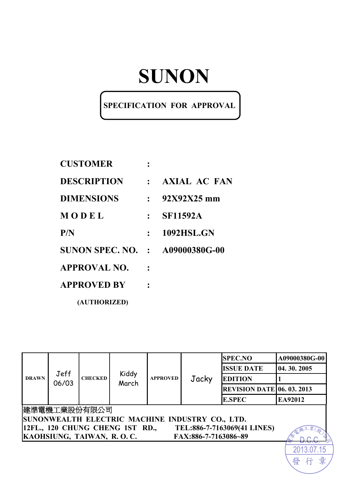## **SPECIFICATION FOR APPROVAL**

| <b>CUSTOMER</b>                        |              |                     |
|----------------------------------------|--------------|---------------------|
| <b>DESCRIPTION</b>                     | $\mathbf{r}$ | <b>AXIAL AC FAN</b> |
| <b>DIMENSIONS</b>                      | $\bullet$ .  | $92X92X25$ mm       |
| MODEL                                  |              | <b>SF11592A</b>     |
| P/N                                    |              | <b>1092HSL.GN</b>   |
| <b>SUNON SPEC. NO. : A09000380G-00</b> |              |                     |
| APPROVAL NO.                           |              |                     |
| <b>APPROVED BY</b>                     |              |                     |
| (AUTHORIZED)                           |              |                     |

| <b>DRAWN</b> | Jeff<br>06/03 |                           | Kiddy<br>March                  | <b>APPROVED</b> | Jacky                                           | <b>SPEC.NO</b>                    | A09000380G-00 |
|--------------|---------------|---------------------------|---------------------------------|-----------------|-------------------------------------------------|-----------------------------------|---------------|
|              |               | <b>CHECKED</b>            |                                 |                 |                                                 | <b>ISSUE DATE</b>                 | 04.30.2005    |
|              |               |                           |                                 |                 |                                                 | <b>EDITION</b>                    |               |
|              |               |                           |                                 |                 |                                                 | <b>REVISION DATE 06. 03. 2013</b> |               |
|              |               |                           |                                 |                 |                                                 | <b>E.SPEC</b>                     | EA92012       |
|              |               | 建準電機工業股份有限公司              |                                 |                 |                                                 |                                   |               |
|              |               |                           |                                 |                 | SUNONWEALTH ELECTRIC MACHINE INDUSTRY CO., LTD. |                                   |               |
|              |               |                           | 12FL., 120 CHUNG CHENG 1ST RD., |                 |                                                 | TEL:886-7-7163069(41 LINES)       |               |
|              |               | KAOHSIUNG, TAIWAN, R.O.C. |                                 |                 | FAX:886-7-7163086~89                            |                                   |               |
|              |               |                           |                                 |                 |                                                 |                                   |               |

發行

章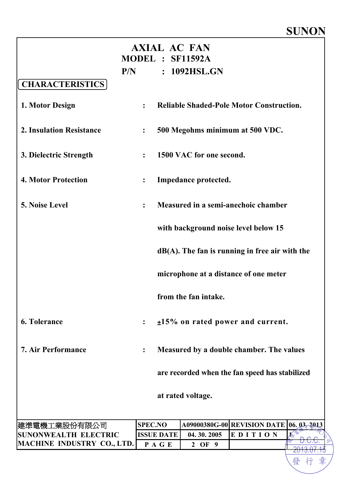| <b>AXIAL AC FAN</b><br>MODEL : SF11592A |                  |                   |                          |                                                   |  |  |
|-----------------------------------------|------------------|-------------------|--------------------------|---------------------------------------------------|--|--|
|                                         | P/N              |                   | : 1092HSL.GN             |                                                   |  |  |
| <b>CHARACTERISTICS</b>                  |                  |                   |                          |                                                   |  |  |
| 1. Motor Design                         | $\ddot{\cdot}$   |                   |                          | <b>Reliable Shaded-Pole Motor Construction.</b>   |  |  |
| <b>2. Insulation Resistance</b>         | $\ddot{\cdot}$   |                   |                          | 500 Megohms minimum at 500 VDC.                   |  |  |
| 3. Dielectric Strength                  | $\ddot{\cdot}$   |                   | 1500 VAC for one second. |                                                   |  |  |
| <b>4. Motor Protection</b>              | $\ddot{\bullet}$ |                   | Impedance protected.     |                                                   |  |  |
| 5. Noise Level                          | $\ddot{\cdot}$   |                   |                          | Measured in a semi-anechoic chamber               |  |  |
|                                         |                  |                   |                          | with background noise level below 15              |  |  |
|                                         |                  |                   |                          | $dB(A)$ . The fan is running in free air with the |  |  |
|                                         |                  |                   |                          | microphone at a distance of one meter             |  |  |
|                                         |                  |                   | from the fan intake.     |                                                   |  |  |
| <b>6. Tolerance</b>                     | $\ddot{\cdot}$   |                   |                          | $±15\%$ on rated power and current.               |  |  |
| <b>7. Air Performance</b>               |                  |                   |                          | Measured by a double chamber. The values          |  |  |
|                                         |                  |                   |                          | are recorded when the fan speed has stabilized    |  |  |
|                                         |                  |                   | at rated voltage.        |                                                   |  |  |
| 建準電機工業股份有限公司                            | <b>SPEC.NO</b>   |                   |                          | A09000380G-00 REVISION DATE 06.03-2013            |  |  |
| <b>SUNONWEALTH ELECTRIC</b>             |                  | <b>ISSUE DATE</b> | 04.30.2005               | EDITION                                           |  |  |
| <b>MACHINE INDUSTRY CO., LTD.</b>       |                  | PAGE              | 2 OF 9                   |                                                   |  |  |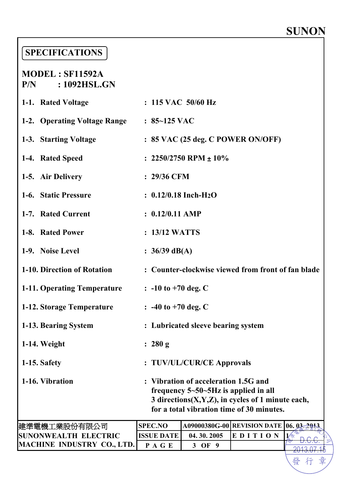2013.07.15

们

發

## **SPECIFICATIONS**

#### **MODEL : SF11592A P/N : 1092HSL.GN**

| 1-1. Rated Voltage                                 | $: 115$ VAC $50/60$ Hz                                                                                                                                                                     |                                    |                                                    |                |  |  |  |
|----------------------------------------------------|--------------------------------------------------------------------------------------------------------------------------------------------------------------------------------------------|------------------------------------|----------------------------------------------------|----------------|--|--|--|
| 1-2. Operating Voltage Range : 85~125 VAC          |                                                                                                                                                                                            |                                    |                                                    |                |  |  |  |
| 1-3. Starting Voltage                              |                                                                                                                                                                                            |                                    | : 85 VAC (25 deg. C POWER ON/OFF)                  |                |  |  |  |
| 1-4. Rated Speed                                   | : $2250/2750$ RPM $\pm 10\%$                                                                                                                                                               |                                    |                                                    |                |  |  |  |
| 1-5. Air Delivery                                  | $: 29/36$ CFM                                                                                                                                                                              |                                    |                                                    |                |  |  |  |
| 1-6. Static Pressure                               | $: 0.12/0.18$ Inch-H <sub>2</sub> O                                                                                                                                                        |                                    |                                                    |                |  |  |  |
| 1-7. Rated Current                                 | $: 0.12/0.11$ AMP                                                                                                                                                                          |                                    |                                                    |                |  |  |  |
| 1-8. Rated Power                                   | : 13/12 WATTS                                                                                                                                                                              |                                    |                                                    |                |  |  |  |
| 1-9. Noise Level                                   | : $36/39$ dB(A)                                                                                                                                                                            |                                    |                                                    |                |  |  |  |
| 1-10. Direction of Rotation                        |                                                                                                                                                                                            |                                    | : Counter-clockwise viewed from front of fan blade |                |  |  |  |
| 1-11. Operating Temperature                        | $\therefore$ -10 to +70 deg. C                                                                                                                                                             |                                    |                                                    |                |  |  |  |
| 1-12. Storage Temperature                          | $\therefore$ -40 to +70 deg. C                                                                                                                                                             |                                    |                                                    |                |  |  |  |
| 1-13. Bearing System                               |                                                                                                                                                                                            | : Lubricated sleeve bearing system |                                                    |                |  |  |  |
| 1-14. Weight                                       | : 280 g                                                                                                                                                                                    |                                    |                                                    |                |  |  |  |
| 1-15. Safety                                       | : TUV/UL/CUR/CE Approvals                                                                                                                                                                  |                                    |                                                    |                |  |  |  |
| 1-16. Vibration                                    | : Vibration of acceleration 1.5G and<br>frequency $5 - 50 - 5$ Hz is applied in all<br>3 directions $(X, Y, Z)$ , in cycles of 1 minute each,<br>for a total vibration time of 30 minutes. |                                    |                                                    |                |  |  |  |
| 建準電機工業股份有限公司                                       | <b>SPEC.NO</b>                                                                                                                                                                             |                                    | A09000380G-00 REVISION DATE                        | $06.03 - 2013$ |  |  |  |
| <b>SUNONWEALTH ELECTRIC</b><br>MACHINE INDHETDV CO | <b>ISSUE DATE</b>                                                                                                                                                                          | 04.30.2005                         | EDITION                                            |                |  |  |  |

**MACHINE INDUSTRY CO., LTD. P A G E 3 OF 9**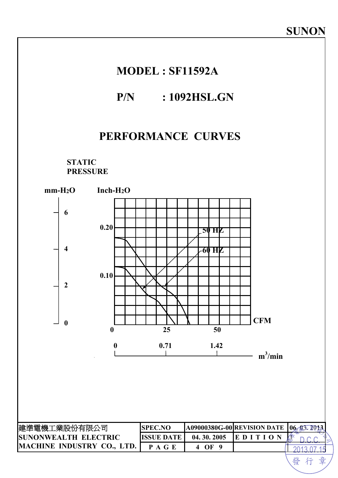## **MODEL : SF11592A**

### **P/N : 1092HSL.GN**

### **PERFORMANCE CURVES**

**STATIC PRESSURE** 

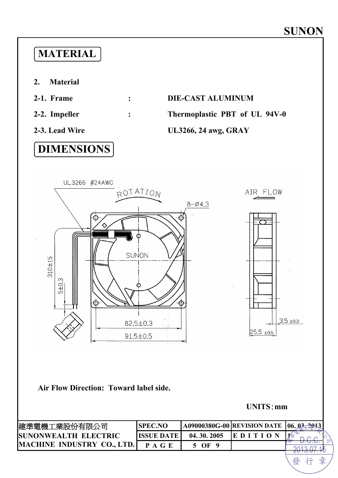## **MATERIAL**

- **2. Material**
- 
- 
- 

## **DIMENSIONS**

## **2-1. Frame : DIE-CAST ALUMINUM**

**2-2. Impeller : Thermoplastic PBT of UL 94V-0** 

#### **2-3. Lead Wire UL3266, 24 awg, GRAY**



#### **Air Flow Direction: Toward label side.**

**UNITS**:**mm** 

發行章

| 建準電機工業股份有限公司                       | <b>SPEC.NO</b>       |             | <b>A09000380G-00 REVISION DATE 106.03-2013</b> |  |
|------------------------------------|----------------------|-------------|------------------------------------------------|--|
| <b>ISUNONWEALTH ELECTRIC</b>       | <b>IISSUE DATE I</b> | 04.30.2005  |                                                |  |
| <b>IMACHINE INDUSTRY CO., LTD.</b> |                      | $_{\rm OF}$ |                                                |  |
|                                    |                      |             |                                                |  |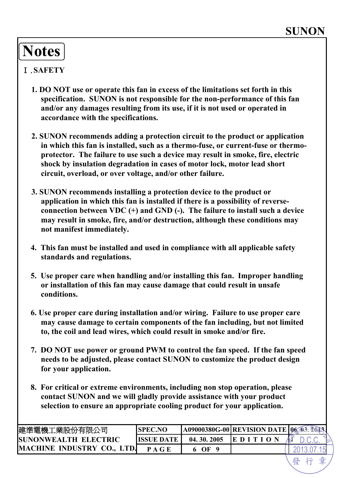## **Notes**

#### Ⅰ.**SAFETY**

- **1. DO NOT use or operate this fan in excess of the limitations set forth in this specification. SUNON is not responsible for the non-performance of this fan and/or any damages resulting from its use, if it is not used or operated in accordance with the specifications.**
- **2. SUNON recommends adding a protection circuit to the product or application in which this fan is installed, such as a thermo-fuse, or current-fuse or thermoprotector. The failure to use such a device may result in smoke, fire, electric shock by insulation degradation in cases of motor lock, motor lead short circuit, overload, or over voltage, and/or other failure.**
- **3. SUNON recommends installing a protection device to the product or application in which this fan is installed if there is a possibility of reverseconnection between VDC (+) and GND (-). The failure to install such a device may result in smoke, fire, and/or destruction, although these conditions may not manifest immediately.**
- **4. This fan must be installed and used in compliance with all applicable safety standards and regulations.**
- **5. Use proper care when handling and/or installing this fan. Improper handling or installation of this fan may cause damage that could result in unsafe conditions.**
- **6. Use proper care during installation and/or wiring. Failure to use proper care may cause damage to certain components of the fan including, but not limited to, the coil and lead wires, which could result in smoke and/or fire.**
- **7. DO NOT use power or ground PWM to control the fan speed. If the fan speed needs to be adjusted, please contact SUNON to customize the product design for your application.**
- **8. For critical or extreme environments, including non stop operation, please contact SUNON and we will gladly provide assistance with your product selection to ensure an appropriate cooling product for your application.**

| 建準電機工業股份有限公司                           | SPEC.NC           |            | <b>A09000380G-00 REVISION DATE 06.05.2023</b> |  |
|----------------------------------------|-------------------|------------|-----------------------------------------------|--|
| <b>ISUNONWEALTH ELECTRIC</b>           | <b>ISSUE DATE</b> | 04.30.2005 | IE D I                                        |  |
| <b>MACHINE</b><br><b>INDUSTRY CO.,</b> |                   | ЭF         |                                               |  |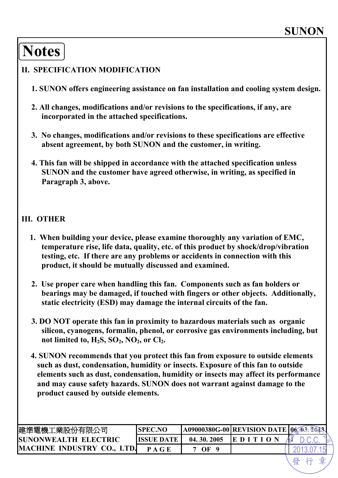# **Notes**

#### **II. SPECIFICATION MODIFICATION**

- **1. SUNON offers engineering assistance on fan installation and cooling system design.**
- **2. All changes, modifications and/or revisions to the specifications, if any, are incorporated in the attached specifications.**
- **3. No changes, modifications and/or revisions to these specifications are effective absent agreement, by both SUNON and the customer, in writing.**
- **4. This fan will be shipped in accordance with the attached specification unless SUNON and the customer have agreed otherwise, in writing, as specified in Paragraph 3, above.**

#### **III. OTHER**

- **1. When building your device, please examine thoroughly any variation of EMC, temperature rise, life data, quality, etc. of this product by shock/drop/vibration testing, etc. If there are any problems or accidents in connection with this product, it should be mutually discussed and examined.**
- **2. Use proper care when handling this fan. Components such as fan holders or bearings may be damaged, if touched with fingers or other objects. Additionally, static electricity (ESD) may damage the internal circuits of the fan.**
- **3. DO NOT operate this fan in proximity to hazardous materials such as organic silicon, cyanogens, formalin, phenol, or corrosive gas environments including, but**  not limited to,  $H_2S$ ,  $SO_2$ ,  $NO_2$ , or  $Cl_2$ .
- **4. SUNON recommends that you protect this fan from exposure to outside elements such as dust, condensation, humidity or insects. Exposure of this fan to outside elements such as dust, condensation, humidity or insects may affect its performance and may cause safety hazards. SUNON does not warrant against damage to the product caused by outside elements.**

| 建準電機工業股份有限公司                 | <b>ISPEC.NO</b>    |            | <b> A09000380G-00 REVISION DATE  06.03. 2043.</b> |  |
|------------------------------|--------------------|------------|---------------------------------------------------|--|
| <b>ISUNONWEALTH ELECTRIC</b> | <b>IISSUE DATE</b> | 04.30.2005 | <b>IEDITION</b>                                   |  |
| MACHINE INDUSTRY CO., LTD.   | P A G E            | $\Omega$   |                                                   |  |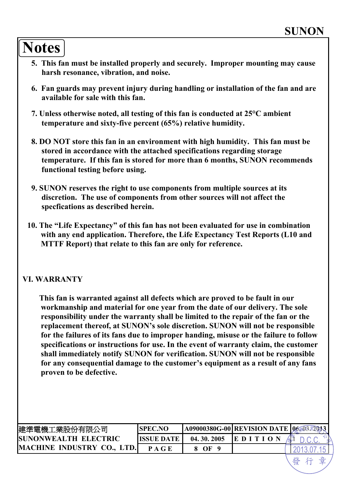## **Notes**

- **5. This fan must be installed properly and securely. Improper mounting may cause harsh resonance, vibration, and noise.**
- **6. Fan guards may prevent injury during handling or installation of the fan and are available for sale with this fan.**
- **7. Unless otherwise noted, all testing of this fan is conducted at 25°C ambient temperature and sixty-five percent (65%) relative humidity.**
- **8. DO NOT store this fan in an environment with high humidity. This fan must be stored in accordance with the attached specifications regarding storage temperature. If this fan is stored for more than 6 months, SUNON recommends functional testing before using.**
- **9. SUNON reserves the right to use components from multiple sources at its discretion. The use of components from other sources will not affect the specfications as described herein.**
- **10. The "Life Expectancy" of this fan has not been evaluated for use in combination with any end application. Therefore, the Life Expectancy Test Reports (L10 and MTTF Report) that relate to this fan are only for reference.**

#### **VI. WARRANTY**

**This fan is warranted against all defects which are proved to be fault in our workmanship and material for one year from the date of our delivery. The sole responsibility under the warranty shall be limited to the repair of the fan or the replacement thereof, at SUNON's sole discretion. SUNON will not be responsible for the failures of its fans due to improper handing, misuse or the failure to follow specifications or instructions for use. In the event of warranty claim, the customer shall immediately notify SUNON for verification. SUNON will not be responsible for any consequential damage to the customer's equipment as a result of any fans proven to be defective.** 

| 建準電機工業股份有限公司                      | <b>SPEC.NO</b>    |            | <b>A09000380G-00 REVISION DATE  06,03 7013</b> |  |
|-----------------------------------|-------------------|------------|------------------------------------------------|--|
| <b>ISUNONWEALTH ELECTRIC</b>      | <b>ISSUE DATE</b> | 04.30.2005 | $\mathbf{E} \mathbf{D} \mathbf{I}$             |  |
| <b>MACHINE INDUSTRY CO., LTD.</b> |                   | OF         |                                                |  |